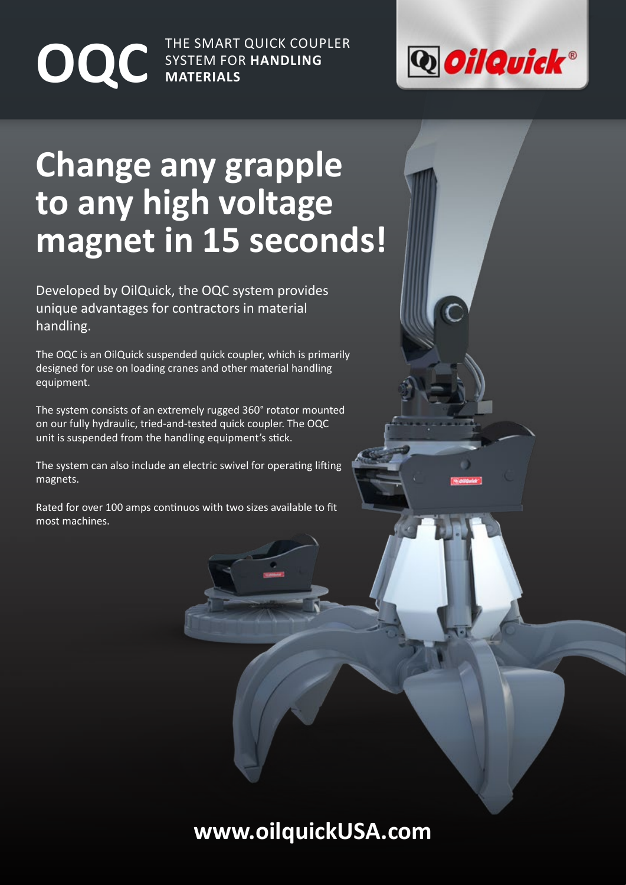THE SMART QUICK COUPLER **OQC** SYSTEM FOR HANDLING



## **Change any grapple to any high voltage magnet in 15 seconds!**

Developed by OilQuick, the OQC system provides unique advantages for contractors in material handling.

The OQC is an OilQuick suspended quick coupler, which is primarily designed for use on loading cranes and other material handling equipment.

The system consists of an extremely rugged 360° rotator mounted on our fully hydraulic, tried-and-tested quick coupler. The OQC unit is suspended from the handling equipment's stick.

The system can also include an electric swivel for operating lifting magnets.

Rated for over 100 amps continuos with two sizes available to fit most machines.

### **www.oilquickUSA.com**